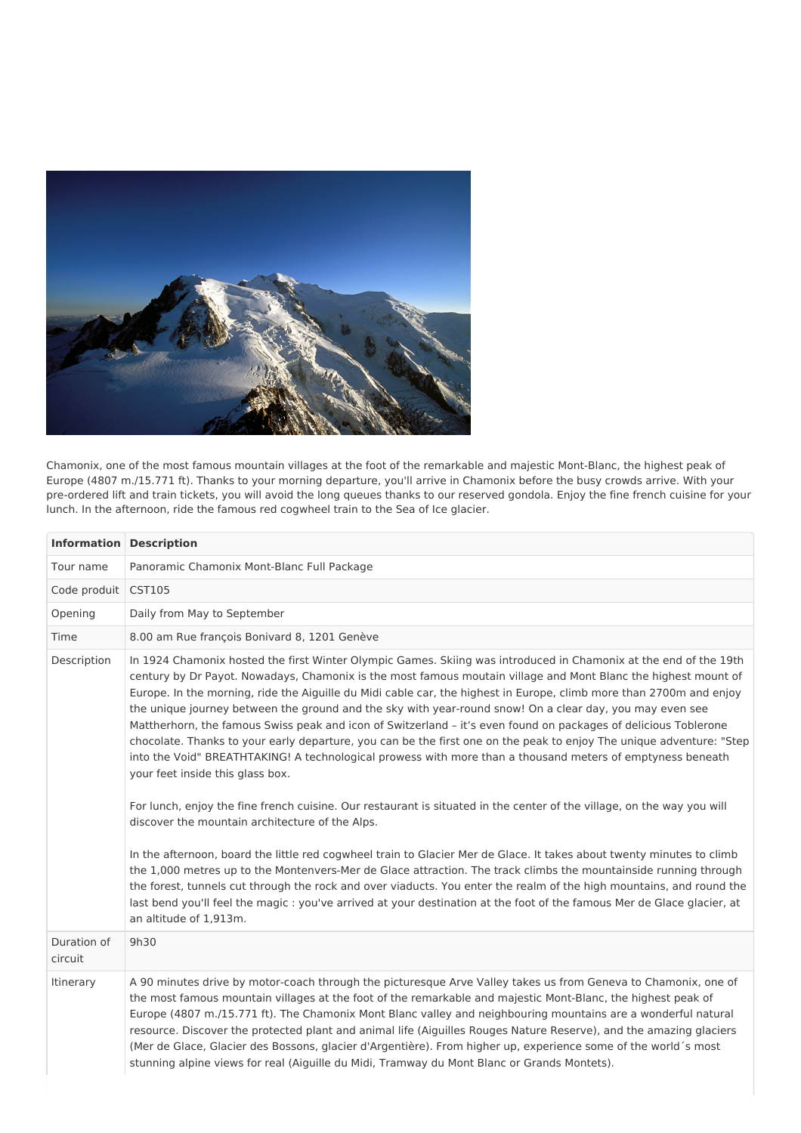

Chamonix, one of the most famous mountain villages at the foot of the remarkable and majestic Mont-Blanc, the highest peak of Europe (4807 m./15.771 ft). Thanks to your morning departure, you'll arrive in Chamonix before the busy crowds arrive. With your pre-ordered lift and train tickets, you will avoid the long queues thanks to our reserved gondola. Enjoy the fine french cuisine for your lunch. In the afternoon, ride the famous red cogwheel train to the Sea of Ice glacier.

| <b>Information Description</b> |                                                                                                                                                                                                                                                                                                                                                                                                                                                                                                                                                                                                                                                                                                                                                                                                                                                                                                                                                                                                                                                                                                                                                                                                                                                                                                                                                                                                                                                                                                                                                                          |
|--------------------------------|--------------------------------------------------------------------------------------------------------------------------------------------------------------------------------------------------------------------------------------------------------------------------------------------------------------------------------------------------------------------------------------------------------------------------------------------------------------------------------------------------------------------------------------------------------------------------------------------------------------------------------------------------------------------------------------------------------------------------------------------------------------------------------------------------------------------------------------------------------------------------------------------------------------------------------------------------------------------------------------------------------------------------------------------------------------------------------------------------------------------------------------------------------------------------------------------------------------------------------------------------------------------------------------------------------------------------------------------------------------------------------------------------------------------------------------------------------------------------------------------------------------------------------------------------------------------------|
| Tour name                      | Panoramic Chamonix Mont-Blanc Full Package                                                                                                                                                                                                                                                                                                                                                                                                                                                                                                                                                                                                                                                                                                                                                                                                                                                                                                                                                                                                                                                                                                                                                                                                                                                                                                                                                                                                                                                                                                                               |
| Code produit                   | <b>CST105</b>                                                                                                                                                                                                                                                                                                                                                                                                                                                                                                                                                                                                                                                                                                                                                                                                                                                                                                                                                                                                                                                                                                                                                                                                                                                                                                                                                                                                                                                                                                                                                            |
| Opening                        | Daily from May to September                                                                                                                                                                                                                                                                                                                                                                                                                                                                                                                                                                                                                                                                                                                                                                                                                                                                                                                                                                                                                                                                                                                                                                                                                                                                                                                                                                                                                                                                                                                                              |
| Time                           | 8.00 am Rue françois Bonivard 8, 1201 Genève                                                                                                                                                                                                                                                                                                                                                                                                                                                                                                                                                                                                                                                                                                                                                                                                                                                                                                                                                                                                                                                                                                                                                                                                                                                                                                                                                                                                                                                                                                                             |
| Description                    | In 1924 Chamonix hosted the first Winter Olympic Games. Skiing was introduced in Chamonix at the end of the 19th<br>century by Dr Payot. Nowadays, Chamonix is the most famous moutain village and Mont Blanc the highest mount of<br>Europe. In the morning, ride the Aiguille du Midi cable car, the highest in Europe, climb more than 2700m and enjoy<br>the unique journey between the ground and the sky with year-round snow! On a clear day, you may even see<br>Mattherhorn, the famous Swiss peak and icon of Switzerland - it's even found on packages of delicious Toblerone<br>chocolate. Thanks to your early departure, you can be the first one on the peak to enjoy The unique adventure: "Step<br>into the Void" BREATHTAKING! A technological prowess with more than a thousand meters of emptyness beneath<br>your feet inside this glass box.<br>For lunch, enjoy the fine french cuisine. Our restaurant is situated in the center of the village, on the way you will<br>discover the mountain architecture of the Alps.<br>In the afternoon, board the little red cogwheel train to Glacier Mer de Glace. It takes about twenty minutes to climb<br>the 1,000 metres up to the Montenvers-Mer de Glace attraction. The track climbs the mountainside running through<br>the forest, tunnels cut through the rock and over viaducts. You enter the realm of the high mountains, and round the<br>last bend you'll feel the magic: you've arrived at your destination at the foot of the famous Mer de Glace glacier, at<br>an altitude of 1,913m. |
| Duration of<br>circuit         | 9h30                                                                                                                                                                                                                                                                                                                                                                                                                                                                                                                                                                                                                                                                                                                                                                                                                                                                                                                                                                                                                                                                                                                                                                                                                                                                                                                                                                                                                                                                                                                                                                     |
| Itinerary                      | A 90 minutes drive by motor-coach through the picturesque Arve Valley takes us from Geneva to Chamonix, one of<br>the most famous mountain villages at the foot of the remarkable and majestic Mont-Blanc, the highest peak of<br>Europe (4807 m./15.771 ft). The Chamonix Mont Blanc valley and neighbouring mountains are a wonderful natural<br>resource. Discover the protected plant and animal life (Aiguilles Rouges Nature Reserve), and the amazing glaciers<br>(Mer de Glace, Glacier des Bossons, glacier d'Argentière). From higher up, experience some of the world's most<br>stunning alpine views for real (Aiguille du Midi, Tramway du Mont Blanc or Grands Montets).                                                                                                                                                                                                                                                                                                                                                                                                                                                                                                                                                                                                                                                                                                                                                                                                                                                                                   |